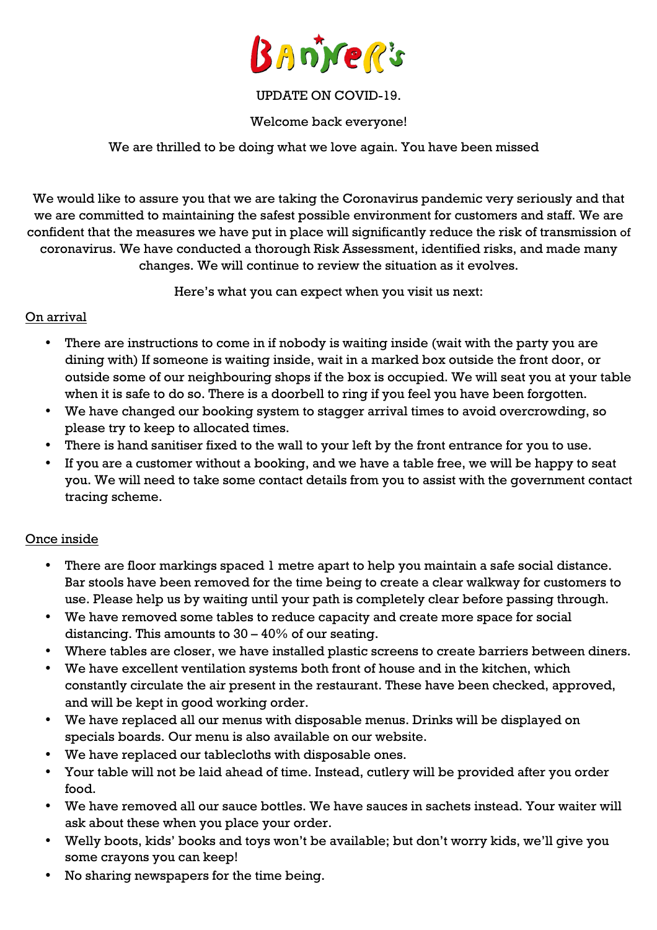

## UPDATE ON COVID-19.

### Welcome back everyone!

## We are thrilled to be doing what we love again. You have been missed

We would like to assure you that we are taking the Coronavirus pandemic very seriously and that we are committed to maintaining the safest possible environment for customers and staff. We are confident that the measures we have put in place will significantly reduce the risk of transmission of coronavirus. We have conducted a thorough Risk Assessment, identified risks, and made many changes. We will continue to review the situation as it evolves.

Here's what you can expect when you visit us next:

## On arrival

- There are instructions to come in if nobody is waiting inside (wait with the party you are dining with) If someone is waiting inside, wait in a marked box outside the front door, or outside some of our neighbouring shops if the box is occupied. We will seat you at your table when it is safe to do so. There is a doorbell to ring if you feel you have been forgotten.
- We have changed our booking system to stagger arrival times to avoid overcrowding, so please try to keep to allocated times.
- There is hand sanitiser fixed to the wall to your left by the front entrance for you to use.
- If you are a customer without a booking, and we have a table free, we will be happy to seat you. We will need to take some contact details from you to assist with the government contact tracing scheme.

### Once inside

- There are floor markings spaced 1 metre apart to help you maintain a safe social distance. Bar stools have been removed for the time being to create a clear walkway for customers to use. Please help us by waiting until your path is completely clear before passing through.
- We have removed some tables to reduce capacity and create more space for social distancing. This amounts to  $30 - 40\%$  of our seating.
- Where tables are closer, we have installed plastic screens to create barriers between diners.
- We have excellent ventilation systems both front of house and in the kitchen, which constantly circulate the air present in the restaurant. These have been checked, approved, and will be kept in good working order.
- We have replaced all our menus with disposable menus. Drinks will be displayed on specials boards. Our menu is also available on our website.
- We have replaced our tablecloths with disposable ones.
- Your table will not be laid ahead of time. Instead, cutlery will be provided after you order food.
- We have removed all our sauce bottles. We have sauces in sachets instead. Your waiter will ask about these when you place your order.
- Welly boots, kids' books and toys won't be available; but don't worry kids, we'll give you some crayons you can keep!
- No sharing newspapers for the time being.